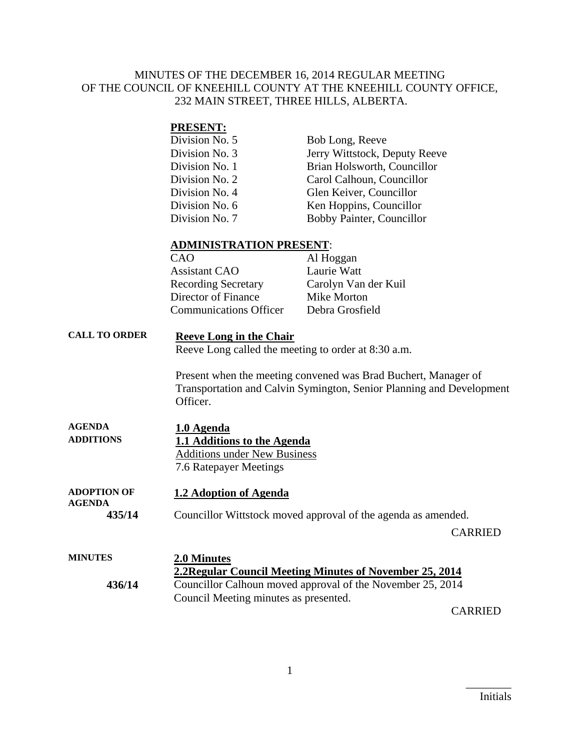#### MINUTES OF THE DECEMBER 16, 2014 REGULAR MEETING OF THE COUNCIL OF KNEEHILL COUNTY AT THE KNEEHILL COUNTY OFFICE, 232 MAIN STREET, THREE HILLS, ALBERTA.

#### **PRESENT:**

| Division No. 5 | Bob Long, Reeve               |
|----------------|-------------------------------|
| Division No. 3 | Jerry Wittstock, Deputy Reeve |
| Division No. 1 | Brian Holsworth, Councillor   |
| Division No. 2 | Carol Calhoun, Councillor     |
| Division No. 4 | Glen Keiver, Councillor       |
| Division No. 6 | Ken Hoppins, Councillor       |
| Division No. 7 | Bobby Painter, Councillor     |

#### **ADMINISTRATION PRESENT**:

| CAO                           | Al Hoggan            |
|-------------------------------|----------------------|
| <b>Assistant CAO</b>          | Laurie Watt          |
| <b>Recording Secretary</b>    | Carolyn Van der Kuil |
| Director of Finance           | Mike Morton          |
| <b>Communications Officer</b> | Debra Grosfield      |
|                               |                      |

### **CALL TO ORDER Reeve Long in the Chair**

Reeve Long called the meeting to order at 8:30 a.m.

Present when the meeting convened was Brad Buchert, Manager of Transportation and Calvin Symington, Senior Planning and Development Officer.

| <b>AGENDA</b>    | 1.0 Agenda                          |
|------------------|-------------------------------------|
| <b>ADDITIONS</b> | 1.1 Additions to the Agenda         |
|                  | <b>Additions under New Business</b> |
|                  | 7.6 Ratepayer Meetings              |
|                  |                                     |

**ADOPTION OF AGENDA 1.2 Adoption of Agenda 435/14** Councillor Wittstock moved approval of the agenda as amended.

CARRIED

| <b>MINUTES</b> | 2.0 Minutes                                                |
|----------------|------------------------------------------------------------|
|                | 2.2 Regular Council Meeting Minutes of November 25, 2014   |
| 436/14         | Councillor Calhoun moved approval of the November 25, 2014 |
|                | Council Meeting minutes as presented.                      |
|                | <b>_____</b>                                               |

CARRIED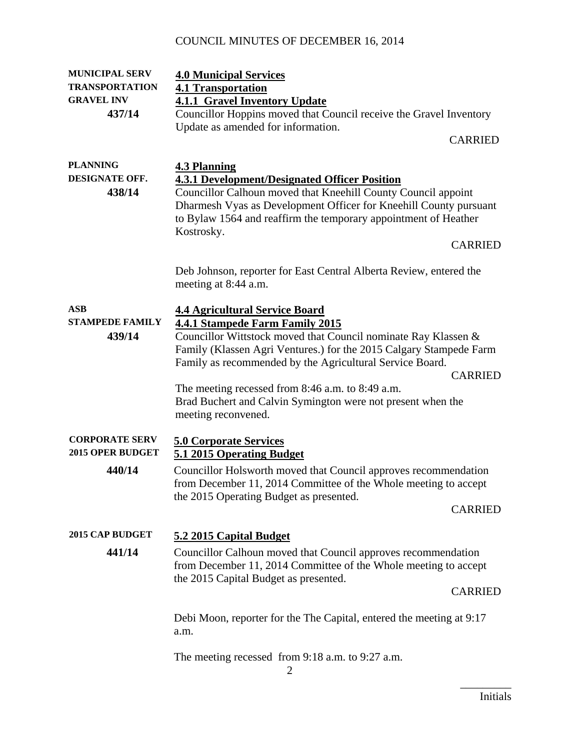| <b>MUNICIPAL SERV</b>                            | <b>4.0 Municipal Services</b>                                                                                                                                                                                                                                                                         |
|--------------------------------------------------|-------------------------------------------------------------------------------------------------------------------------------------------------------------------------------------------------------------------------------------------------------------------------------------------------------|
| <b>TRANSPORTATION</b>                            | <b>4.1 Transportation</b>                                                                                                                                                                                                                                                                             |
| <b>GRAVEL INV</b>                                | <b>4.1.1 Gravel Inventory Update</b>                                                                                                                                                                                                                                                                  |
| 437/14                                           | Councillor Hoppins moved that Council receive the Gravel Inventory<br>Update as amended for information.                                                                                                                                                                                              |
|                                                  | <b>CARRIED</b>                                                                                                                                                                                                                                                                                        |
|                                                  |                                                                                                                                                                                                                                                                                                       |
| <b>PLANNING</b><br>DESIGNATE OFF.                | <b>4.3 Planning</b>                                                                                                                                                                                                                                                                                   |
| 438/14                                           | <b>4.3.1 Development/Designated Officer Position</b><br>Councillor Calhoun moved that Kneehill County Council appoint<br>Dharmesh Vyas as Development Officer for Kneehill County pursuant<br>to Bylaw 1564 and reaffirm the temporary appointment of Heather<br>Kostrosky.                           |
|                                                  | <b>CARRIED</b>                                                                                                                                                                                                                                                                                        |
|                                                  | Deb Johnson, reporter for East Central Alberta Review, entered the<br>meeting at 8:44 a.m.                                                                                                                                                                                                            |
| <b>ASB</b><br><b>STAMPEDE FAMILY</b><br>439/14   | <b>4.4 Agricultural Service Board</b><br><b>4.4.1 Stampede Farm Family 2015</b><br>Councillor Wittstock moved that Council nominate Ray Klassen &<br>Family (Klassen Agri Ventures.) for the 2015 Calgary Stampede Farm<br>Family as recommended by the Agricultural Service Board.<br><b>CARRIED</b> |
|                                                  | The meeting recessed from 8:46 a.m. to 8:49 a.m.<br>Brad Buchert and Calvin Symington were not present when the<br>meeting reconvened.                                                                                                                                                                |
| <b>CORPORATE SERV</b><br><b>2015 OPER BUDGET</b> | <b>5.0 Corporate Services</b><br>5.1 2015 Operating Budget                                                                                                                                                                                                                                            |
| 440/14                                           | Councillor Holsworth moved that Council approves recommendation<br>from December 11, 2014 Committee of the Whole meeting to accept<br>the 2015 Operating Budget as presented.<br><b>CARRIED</b>                                                                                                       |
|                                                  |                                                                                                                                                                                                                                                                                                       |
| <b>2015 CAP BUDGET</b>                           | 5.2 2015 Capital Budget                                                                                                                                                                                                                                                                               |
| 441/14                                           | Councillor Calhoun moved that Council approves recommendation<br>from December 11, 2014 Committee of the Whole meeting to accept                                                                                                                                                                      |
|                                                  | the 2015 Capital Budget as presented.<br><b>CARRIED</b>                                                                                                                                                                                                                                               |
|                                                  | Debi Moon, reporter for the The Capital, entered the meeting at 9:17<br>a.m.                                                                                                                                                                                                                          |
|                                                  | The meeting recessed from $9:18$ a.m. to $9:27$ a.m.                                                                                                                                                                                                                                                  |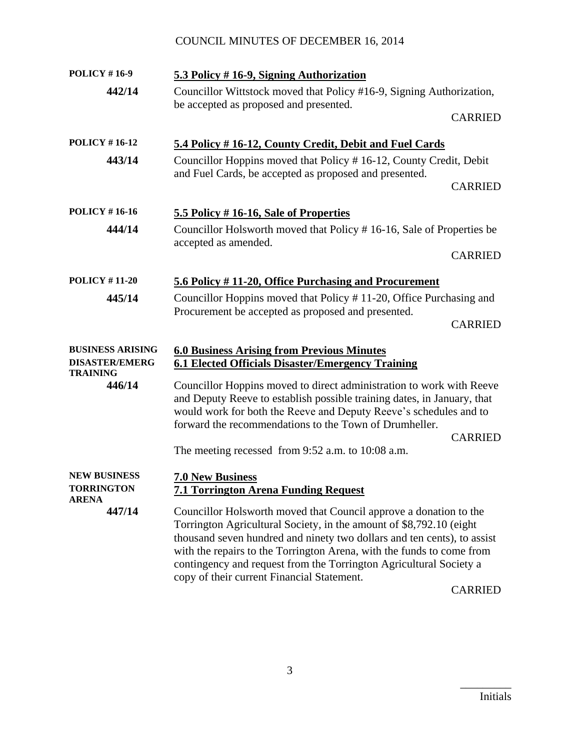| <b>POLICY #16-9</b>                                                         | 5.3 Policy #16-9, Signing Authorization                                                                                                                                                                                                                                                                                                                                                                                            |                |
|-----------------------------------------------------------------------------|------------------------------------------------------------------------------------------------------------------------------------------------------------------------------------------------------------------------------------------------------------------------------------------------------------------------------------------------------------------------------------------------------------------------------------|----------------|
| 442/14                                                                      | Councillor Wittstock moved that Policy #16-9, Signing Authorization,<br>be accepted as proposed and presented.                                                                                                                                                                                                                                                                                                                     |                |
|                                                                             |                                                                                                                                                                                                                                                                                                                                                                                                                                    | <b>CARRIED</b> |
| <b>POLICY #16-12</b>                                                        | 5.4 Policy #16-12, County Credit, Debit and Fuel Cards                                                                                                                                                                                                                                                                                                                                                                             |                |
| Councillor Hoppins moved that Policy #16-12, County Credit, Debit<br>443/14 |                                                                                                                                                                                                                                                                                                                                                                                                                                    |                |
|                                                                             | and Fuel Cards, be accepted as proposed and presented.                                                                                                                                                                                                                                                                                                                                                                             | <b>CARRIED</b> |
| <b>POLICY #16-16</b>                                                        | 5.5 Policy #16-16, Sale of Properties                                                                                                                                                                                                                                                                                                                                                                                              |                |
| 444/14                                                                      | Councillor Holsworth moved that Policy #16-16, Sale of Properties be                                                                                                                                                                                                                                                                                                                                                               |                |
|                                                                             | accepted as amended.                                                                                                                                                                                                                                                                                                                                                                                                               | <b>CARRIED</b> |
| <b>POLICY #11-20</b>                                                        | 5.6 Policy #11-20, Office Purchasing and Procurement                                                                                                                                                                                                                                                                                                                                                                               |                |
| 445/14                                                                      | Councillor Hoppins moved that Policy #11-20, Office Purchasing and                                                                                                                                                                                                                                                                                                                                                                 |                |
|                                                                             | Procurement be accepted as proposed and presented.                                                                                                                                                                                                                                                                                                                                                                                 | <b>CARRIED</b> |
| <b>BUSINESS ARISING</b><br><b>DISASTER/EMERG</b>                            | <b>6.0 Business Arising from Previous Minutes</b><br><b>6.1 Elected Officials Disaster/Emergency Training</b>                                                                                                                                                                                                                                                                                                                      |                |
| <b>TRAINING</b><br>446/14                                                   | Councillor Hoppins moved to direct administration to work with Reeve<br>and Deputy Reeve to establish possible training dates, in January, that<br>would work for both the Reeve and Deputy Reeve's schedules and to<br>forward the recommendations to the Town of Drumheller.<br><b>CARRIED</b>                                                                                                                                   |                |
|                                                                             | The meeting recessed from 9:52 a.m. to 10:08 a.m.                                                                                                                                                                                                                                                                                                                                                                                  |                |
| <b>NEW BUSINESS</b><br><b>TORRINGTON</b><br><b>ARENA</b>                    | <b>7.0 New Business</b><br><b>7.1 Torrington Arena Funding Request</b>                                                                                                                                                                                                                                                                                                                                                             |                |
| 447/14                                                                      | Councillor Holsworth moved that Council approve a donation to the<br>Torrington Agricultural Society, in the amount of \$8,792.10 (eight<br>thousand seven hundred and ninety two dollars and ten cents), to assist<br>with the repairs to the Torrington Arena, with the funds to come from<br>contingency and request from the Torrington Agricultural Society a<br>copy of their current Financial Statement.<br><b>CARRIED</b> |                |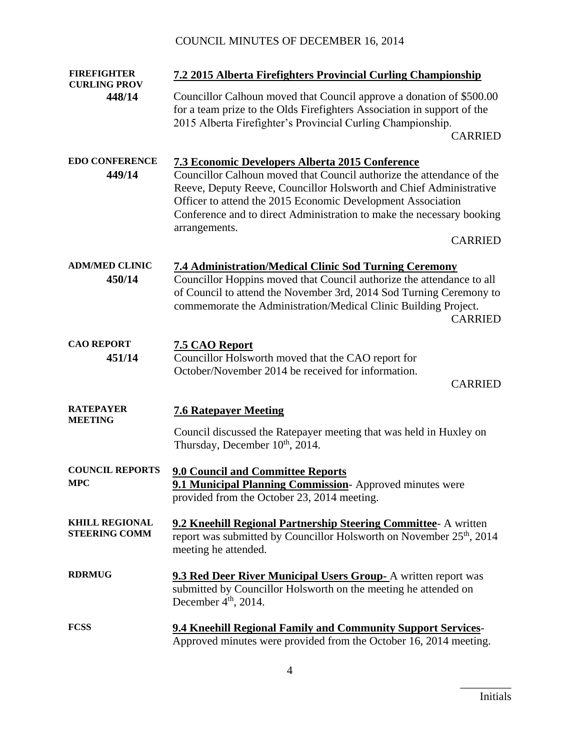| <b>FIREFIGHTER</b><br><b>CURLING PROV</b>     | 7.2 2015 Alberta Firefighters Provincial Curling Championship                                                                                                                                                                                                                                                          |  |
|-----------------------------------------------|------------------------------------------------------------------------------------------------------------------------------------------------------------------------------------------------------------------------------------------------------------------------------------------------------------------------|--|
| 448/14                                        | Councillor Calhoun moved that Council approve a donation of \$500.00<br>for a team prize to the Olds Firefighters Association in support of the<br>2015 Alberta Firefighter's Provincial Curling Championship.<br><b>CARRIED</b>                                                                                       |  |
| <b>EDO CONFERENCE</b>                         | <b>7.3 Economic Developers Alberta 2015 Conference</b>                                                                                                                                                                                                                                                                 |  |
| 449/14                                        | Councillor Calhoun moved that Council authorize the attendance of the<br>Reeve, Deputy Reeve, Councillor Holsworth and Chief Administrative<br>Officer to attend the 2015 Economic Development Association<br>Conference and to direct Administration to make the necessary booking<br>arrangements.<br><b>CARRIED</b> |  |
| <b>ADM/MED CLINIC</b>                         |                                                                                                                                                                                                                                                                                                                        |  |
| 450/14                                        | <b>7.4 Administration/Medical Clinic Sod Turning Ceremony</b><br>Councillor Hoppins moved that Council authorize the attendance to all<br>of Council to attend the November 3rd, 2014 Sod Turning Ceremony to<br>commemorate the Administration/Medical Clinic Building Project.<br><b>CARRIED</b>                     |  |
| <b>CAO REPORT</b>                             | 7.5 CAO Report                                                                                                                                                                                                                                                                                                         |  |
| 451/14                                        | Councillor Holsworth moved that the CAO report for<br>October/November 2014 be received for information.<br><b>CARRIED</b>                                                                                                                                                                                             |  |
| <b>RATEPAYER</b>                              | <b>7.6 Ratepayer Meeting</b>                                                                                                                                                                                                                                                                                           |  |
| <b>MEETING</b>                                | Council discussed the Ratepayer meeting that was held in Huxley on<br>Thursday, December 10 <sup>th</sup> , 2014.                                                                                                                                                                                                      |  |
| <b>COUNCIL REPORTS</b><br><b>MPC</b>          | <b>9.0 Council and Committee Reports</b><br>9.1 Municipal Planning Commission-Approved minutes were<br>provided from the October 23, 2014 meeting.                                                                                                                                                                     |  |
| <b>KHILL REGIONAL</b><br><b>STEERING COMM</b> | 9.2 Kneehill Regional Partnership Steering Committee- A written<br>report was submitted by Councillor Holsworth on November 25 <sup>th</sup> , 2014<br>meeting he attended.                                                                                                                                            |  |
| <b>RDRMUG</b>                                 | <b>9.3 Red Deer River Municipal Users Group-</b> A written report was<br>submitted by Councillor Holsworth on the meeting he attended on<br>December $4th$ , 2014.                                                                                                                                                     |  |
| <b>FCSS</b>                                   | <b>9.4 Kneehill Regional Family and Community Support Services-</b><br>Approved minutes were provided from the October 16, 2014 meeting.                                                                                                                                                                               |  |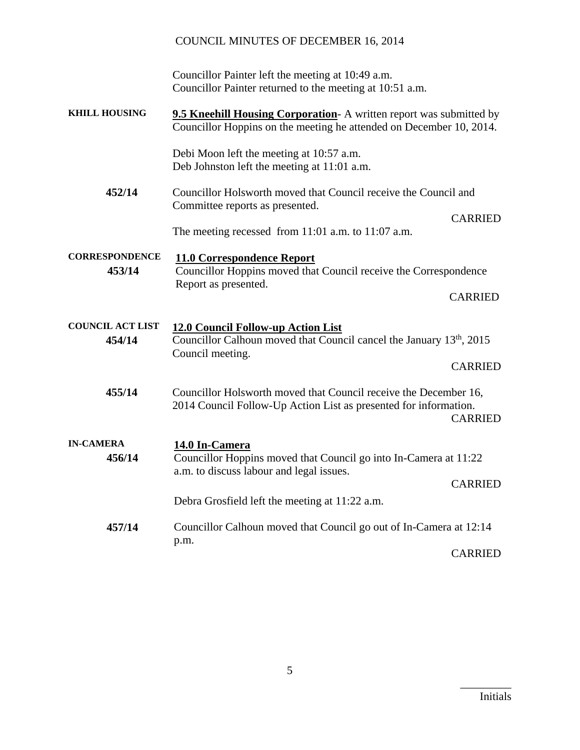# COUNCIL MINUTES OF DECEMBER 16, 2014 Councillor Painter left the meeting at 10:49 a.m. Councillor Painter returned to the meeting at 10:51 a.m. **KHILL HOUSING 9.5 Kneehill Housing Corporation**- A written report was submitted by Councillor Hoppins on the meeting he attended on December 10, 2014. Debi Moon left the meeting at 10:57 a.m. Deb Johnston left the meeting at 11:01 a.m. **452/14** Councillor Holsworth moved that Council receive the Council and Committee reports as presented. CARRIED The meeting recessed from 11:01 a.m. to 11:07 a.m. **CORRESPONDENCE 11.0 Correspondence Report 453/14** Councillor Hoppins moved that Council receive the Correspondence Report as presented. CARRIED **COUNCIL ACT LIST 12.0 Council Follow-up Action List 454/14** Councillor Calhoun moved that Council cancel the January 13<sup>th</sup>, 2015 Council meeting. CARRIED **455/14** Councillor Holsworth moved that Council receive the December 16, 2014 Council Follow-Up Action List as presented for information. CARRIED **IN-CAMERA 14.0 In-Camera 456/14** Councillor Hoppins moved that Council go into In-Camera at 11:22 a.m. to discuss labour and legal issues. CARRIED Debra Grosfield left the meeting at 11:22 a.m. **457/14** Councillor Calhoun moved that Council go out of In-Camera at 12:14 p.m. CARRIED